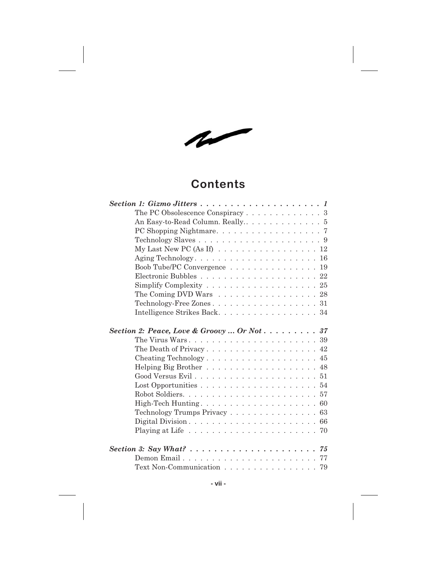$\sim$ 

## **Contents**

| The PC Obsolescence Conspiracy 3<br>My Last New PC (As If) $\ldots \ldots \ldots \ldots \ldots \ldots 12$ |
|-----------------------------------------------------------------------------------------------------------|
|                                                                                                           |
|                                                                                                           |
|                                                                                                           |
|                                                                                                           |
|                                                                                                           |
| Aging Technology 16                                                                                       |
| Boob Tube/PC Convergence 19                                                                               |
|                                                                                                           |
|                                                                                                           |
| The Coming DVD Wars $\ldots \ldots \ldots \ldots \ldots \ldots 28$                                        |
| Technology-Free Zones 31                                                                                  |
| Intelligence Strikes Back. 34                                                                             |
| Section 2: Peace, Love & Groovy  Or Not 37                                                                |
| The Virus Wars. $\dots \dots \dots \dots \dots \dots \dots \dots \dots \dots 39$                          |
|                                                                                                           |
|                                                                                                           |
| Helping Big Brother 48                                                                                    |
|                                                                                                           |
|                                                                                                           |
|                                                                                                           |
|                                                                                                           |
| Technology Trumps Privacy 63                                                                              |
|                                                                                                           |
|                                                                                                           |
| Section 3: Say What? $\ldots \ldots \ldots \ldots \ldots \ldots \ldots \ldots \ldots$                     |
| Demon Email77                                                                                             |
| Text Non-Communication 79                                                                                 |